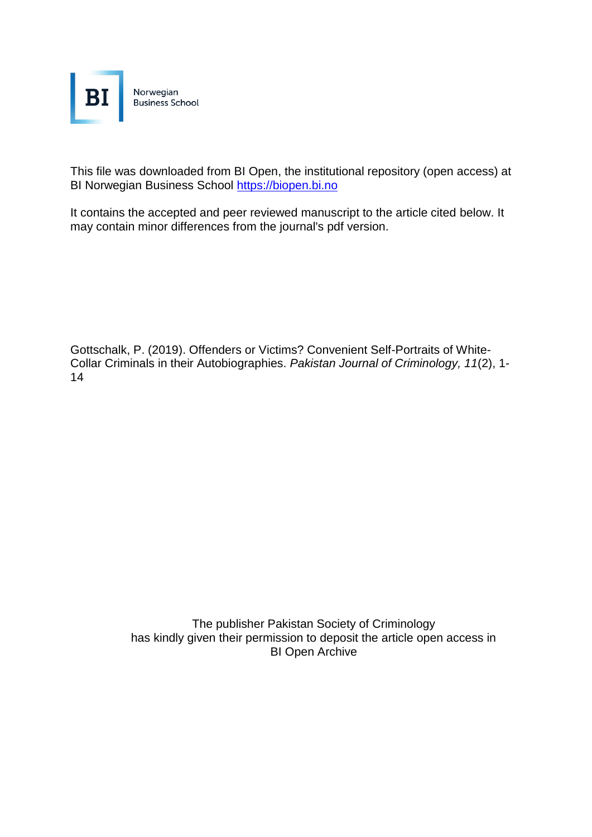

This file was downloaded from BI Open, the institutional repository (open access) at BI Norwegian Business School [https://biopen.bi.no](https://biopen.bi.no/)

It contains the accepted and peer reviewed manuscript to the article cited below. It may contain minor differences from the journal's pdf version.

Gottschalk, P. (2019). Offenders or Victims? Convenient Self-Portraits of White-Collar Criminals in their Autobiographies. *Pakistan Journal of Criminology, 11*(2), 1- 14

> The publisher Pakistan Society of Criminology has kindly given their permission to deposit the article open access in BI Open Archive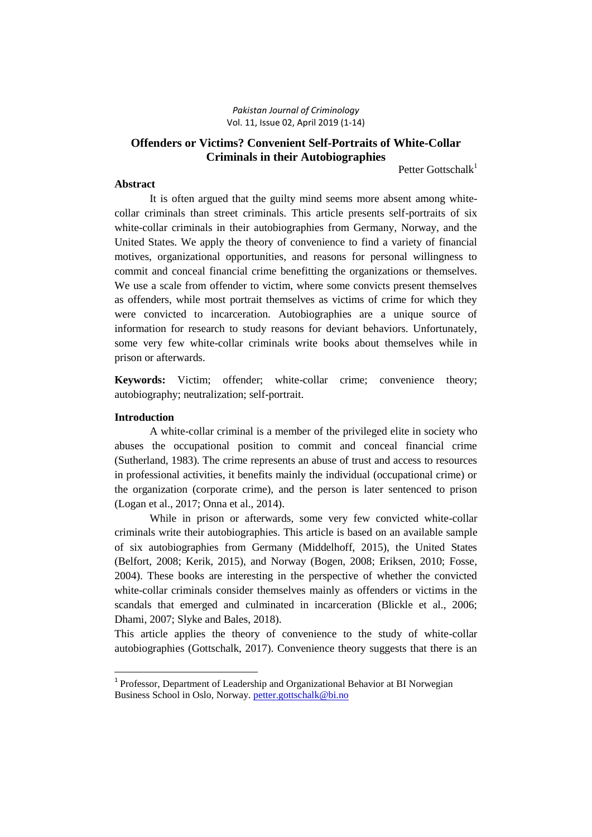*Pakistan Journal of Criminology* Vol. 11, Issue 02, April 2019 (1-14)

# **Offenders or Victims? Convenient Self-Portraits of White-Collar Criminals in their Autobiographies**

Petter Gottschalk<sup>1</sup>

# **Abstract**

It is often argued that the guilty mind seems more absent among whitecollar criminals than street criminals. This article presents self-portraits of six white-collar criminals in their autobiographies from Germany, Norway, and the United States. We apply the theory of convenience to find a variety of financial motives, organizational opportunities, and reasons for personal willingness to commit and conceal financial crime benefitting the organizations or themselves. We use a scale from offender to victim, where some convicts present themselves as offenders, while most portrait themselves as victims of crime for which they were convicted to incarceration. Autobiographies are a unique source of information for research to study reasons for deviant behaviors. Unfortunately, some very few white-collar criminals write books about themselves while in prison or afterwards.

**Keywords:** Victim; offender; white-collar crime; convenience theory; autobiography; neutralization; self-portrait.

## **Introduction**

1

A white-collar criminal is a member of the privileged elite in society who abuses the occupational position to commit and conceal financial crime (Sutherland, 1983). The crime represents an abuse of trust and access to resources in professional activities, it benefits mainly the individual (occupational crime) or the organization (corporate crime), and the person is later sentenced to prison (Logan et al., 2017; Onna et al., 2014).

While in prison or afterwards, some very few convicted white-collar criminals write their autobiographies. This article is based on an available sample of six autobiographies from Germany (Middelhoff, 2015), the United States (Belfort, 2008; Kerik, 2015), and Norway (Bogen, 2008; Eriksen, 2010; Fosse, 2004). These books are interesting in the perspective of whether the convicted white-collar criminals consider themselves mainly as offenders or victims in the scandals that emerged and culminated in incarceration (Blickle et al., 2006; Dhami, 2007; Slyke and Bales, 2018).

This article applies the theory of convenience to the study of white-collar autobiographies (Gottschalk, 2017). Convenience theory suggests that there is an

<sup>&</sup>lt;sup>1</sup> Professor, Department of Leadership and Organizational Behavior at BI Norwegian Business School in Oslo, Norway. [petter.gottschalk@bi.no](mailto:petter.gottschalk@bi.no)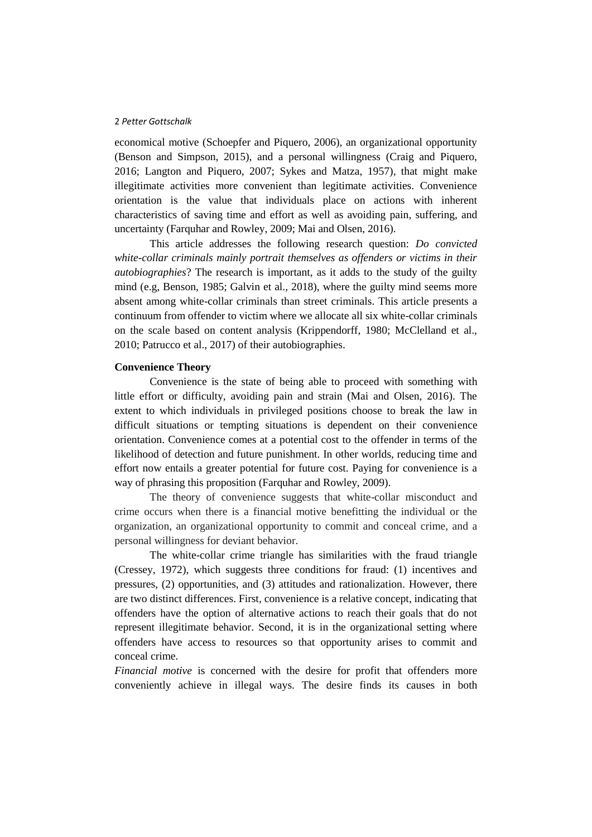economical motive (Schoepfer and Piquero, 2006), an organizational opportunity (Benson and Simpson, 2015), and a personal willingness (Craig and Piquero, 2016; Langton and Piquero, 2007; Sykes and Matza, 1957), that might make illegitimate activities more convenient than legitimate activities. Convenience orientation is the value that individuals place on actions with inherent characteristics of saving time and effort as well as avoiding pain, suffering, and uncertainty (Farquhar and Rowley, 2009; Mai and Olsen, 2016).

This article addresses the following research question: *Do convicted white-collar criminals mainly portrait themselves as offenders or victims in their autobiographies*? The research is important, as it adds to the study of the guilty mind (e.g, Benson, 1985; Galvin et al., 2018), where the guilty mind seems more absent among white-collar criminals than street criminals. This article presents a continuum from offender to victim where we allocate all six white-collar criminals on the scale based on content analysis (Krippendorff, 1980; McClelland et al., 2010; Patrucco et al., 2017) of their autobiographies.

## **Convenience Theory**

Convenience is the state of being able to proceed with something with little effort or difficulty, avoiding pain and strain (Mai and Olsen, 2016). The extent to which individuals in privileged positions choose to break the law in difficult situations or tempting situations is dependent on their convenience orientation. Convenience comes at a potential cost to the offender in terms of the likelihood of detection and future punishment. In other worlds, reducing time and effort now entails a greater potential for future cost. Paying for convenience is a way of phrasing this proposition (Farquhar and Rowley, 2009).

The theory of convenience suggests that white-collar misconduct and crime occurs when there is a financial motive benefitting the individual or the organization, an organizational opportunity to commit and conceal crime, and a personal willingness for deviant behavior.

The white-collar crime triangle has similarities with the fraud triangle (Cressey, 1972), which suggests three conditions for fraud: (1) incentives and pressures, (2) opportunities, and (3) attitudes and rationalization. However, there are two distinct differences. First, convenience is a relative concept, indicating that offenders have the option of alternative actions to reach their goals that do not represent illegitimate behavior. Second, it is in the organizational setting where offenders have access to resources so that opportunity arises to commit and conceal crime.

*Financial motive* is concerned with the desire for profit that offenders more conveniently achieve in illegal ways. The desire finds its causes in both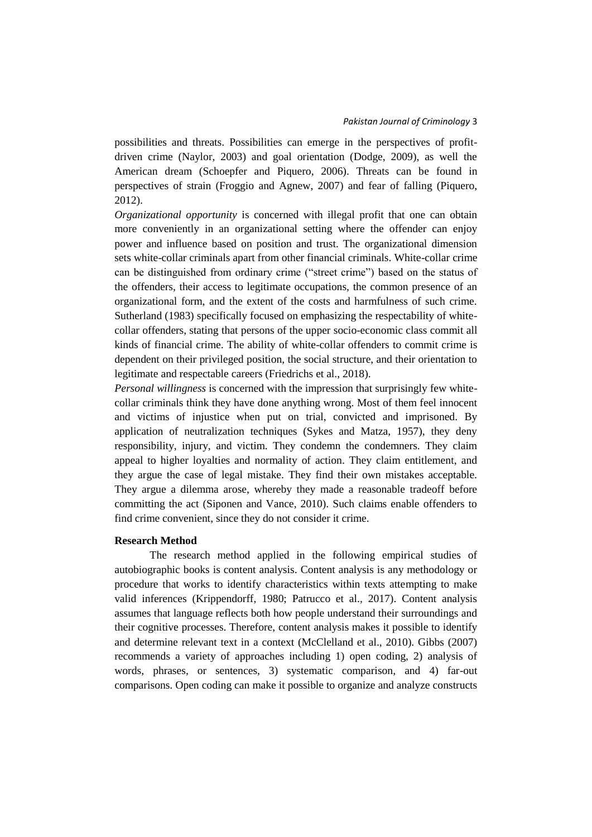possibilities and threats. Possibilities can emerge in the perspectives of profitdriven crime (Naylor, 2003) and goal orientation (Dodge, 2009), as well the American dream (Schoepfer and Piquero, 2006). Threats can be found in perspectives of strain (Froggio and Agnew, 2007) and fear of falling (Piquero, 2012).

*Organizational opportunity* is concerned with illegal profit that one can obtain more conveniently in an organizational setting where the offender can enjoy power and influence based on position and trust. The organizational dimension sets white-collar criminals apart from other financial criminals. White-collar crime can be distinguished from ordinary crime ("street crime") based on the status of the offenders, their access to legitimate occupations, the common presence of an organizational form, and the extent of the costs and harmfulness of such crime. Sutherland (1983) specifically focused on emphasizing the respectability of whitecollar offenders, stating that persons of the upper socio-economic class commit all kinds of financial crime. The ability of white-collar offenders to commit crime is dependent on their privileged position, the social structure, and their orientation to legitimate and respectable careers (Friedrichs et al., 2018).

*Personal willingness* is concerned with the impression that surprisingly few whitecollar criminals think they have done anything wrong. Most of them feel innocent and victims of injustice when put on trial, convicted and imprisoned. By application of neutralization techniques (Sykes and Matza, 1957), they deny responsibility, injury, and victim. They condemn the condemners. They claim appeal to higher loyalties and normality of action. They claim entitlement, and they argue the case of legal mistake. They find their own mistakes acceptable. They argue a dilemma arose, whereby they made a reasonable tradeoff before committing the act (Siponen and Vance, 2010). Such claims enable offenders to find crime convenient, since they do not consider it crime.

### **Research Method**

The research method applied in the following empirical studies of autobiographic books is content analysis. Content analysis is any methodology or procedure that works to identify characteristics within texts attempting to make valid inferences (Krippendorff, 1980; Patrucco et al., 2017). Content analysis assumes that language reflects both how people understand their surroundings and their cognitive processes. Therefore, content analysis makes it possible to identify and determine relevant text in a context (McClelland et al., 2010). Gibbs (2007) recommends a variety of approaches including 1) open coding, 2) analysis of words, phrases, or sentences, 3) systematic comparison, and 4) far-out comparisons. Open coding can make it possible to organize and analyze constructs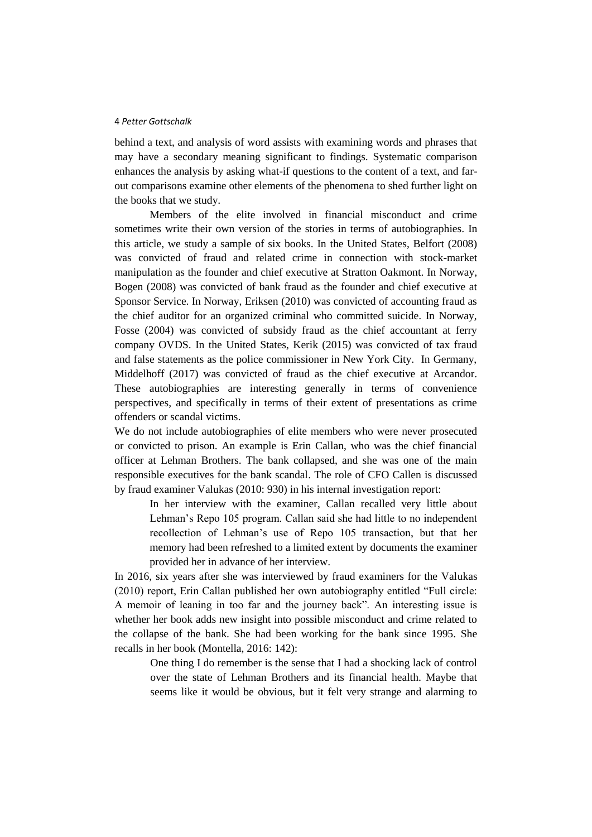behind a text, and analysis of word assists with examining words and phrases that may have a secondary meaning significant to findings. Systematic comparison enhances the analysis by asking what-if questions to the content of a text, and farout comparisons examine other elements of the phenomena to shed further light on the books that we study.

Members of the elite involved in financial misconduct and crime sometimes write their own version of the stories in terms of autobiographies. In this article, we study a sample of six books. In the United States, Belfort (2008) was convicted of fraud and related crime in connection with stock-market manipulation as the founder and chief executive at Stratton Oakmont. In Norway, Bogen (2008) was convicted of bank fraud as the founder and chief executive at Sponsor Service. In Norway, Eriksen (2010) was convicted of accounting fraud as the chief auditor for an organized criminal who committed suicide. In Norway, Fosse (2004) was convicted of subsidy fraud as the chief accountant at ferry company OVDS. In the United States, Kerik (2015) was convicted of tax fraud and false statements as the police commissioner in New York City. In Germany, Middelhoff (2017) was convicted of fraud as the chief executive at Arcandor. These autobiographies are interesting generally in terms of convenience perspectives, and specifically in terms of their extent of presentations as crime offenders or scandal victims.

We do not include autobiographies of elite members who were never prosecuted or convicted to prison. An example is Erin Callan, who was the chief financial officer at Lehman Brothers. The bank collapsed, and she was one of the main responsible executives for the bank scandal. The role of CFO Callen is discussed by fraud examiner Valukas (2010: 930) in his internal investigation report:

In her interview with the examiner, Callan recalled very little about Lehman"s Repo 105 program. Callan said she had little to no independent recollection of Lehman"s use of Repo 105 transaction, but that her memory had been refreshed to a limited extent by documents the examiner provided her in advance of her interview.

In 2016, six years after she was interviewed by fraud examiners for the Valukas (2010) report, Erin Callan published her own autobiography entitled "Full circle: A memoir of leaning in too far and the journey back". An interesting issue is whether her book adds new insight into possible misconduct and crime related to the collapse of the bank. She had been working for the bank since 1995. She recalls in her book (Montella, 2016: 142):

One thing I do remember is the sense that I had a shocking lack of control over the state of Lehman Brothers and its financial health. Maybe that seems like it would be obvious, but it felt very strange and alarming to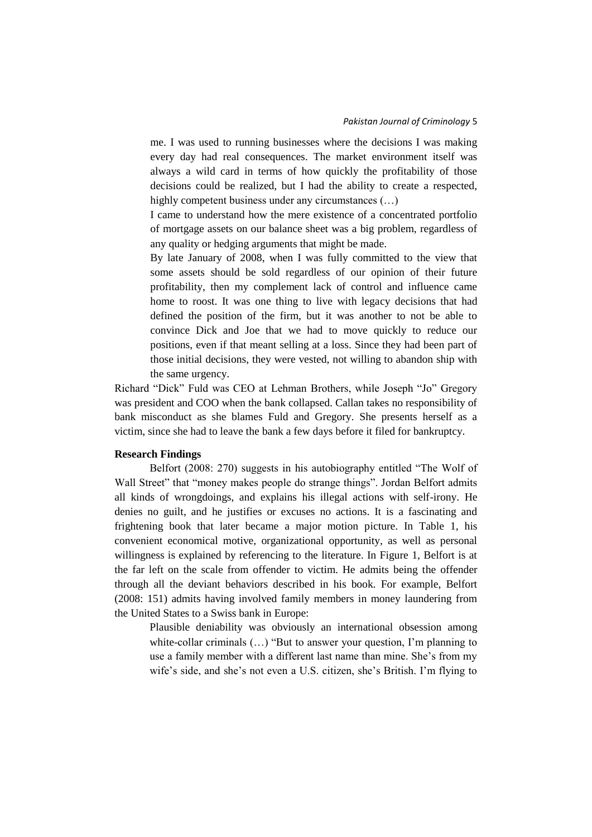me. I was used to running businesses where the decisions I was making every day had real consequences. The market environment itself was always a wild card in terms of how quickly the profitability of those decisions could be realized, but I had the ability to create a respected, highly competent business under any circumstances  $(...)$ 

I came to understand how the mere existence of a concentrated portfolio of mortgage assets on our balance sheet was a big problem, regardless of any quality or hedging arguments that might be made.

By late January of 2008, when I was fully committed to the view that some assets should be sold regardless of our opinion of their future profitability, then my complement lack of control and influence came home to roost. It was one thing to live with legacy decisions that had defined the position of the firm, but it was another to not be able to convince Dick and Joe that we had to move quickly to reduce our positions, even if that meant selling at a loss. Since they had been part of those initial decisions, they were vested, not willing to abandon ship with the same urgency.

Richard "Dick" Fuld was CEO at Lehman Brothers, while Joseph "Jo" Gregory was president and COO when the bank collapsed. Callan takes no responsibility of bank misconduct as she blames Fuld and Gregory. She presents herself as a victim, since she had to leave the bank a few days before it filed for bankruptcy.

# **Research Findings**

Belfort (2008: 270) suggests in his autobiography entitled "The Wolf of Wall Street" that "money makes people do strange things". Jordan Belfort admits all kinds of wrongdoings, and explains his illegal actions with self-irony. He denies no guilt, and he justifies or excuses no actions. It is a fascinating and frightening book that later became a major motion picture. In Table 1, his convenient economical motive, organizational opportunity, as well as personal willingness is explained by referencing to the literature. In Figure 1, Belfort is at the far left on the scale from offender to victim. He admits being the offender through all the deviant behaviors described in his book. For example, Belfort (2008: 151) admits having involved family members in money laundering from the United States to a Swiss bank in Europe:

Plausible deniability was obviously an international obsession among white-collar criminals  $(...)$  "But to answer your question, I'm planning to use a family member with a different last name than mine. She's from my wife's side, and she's not even a U.S. citizen, she's British. I'm flying to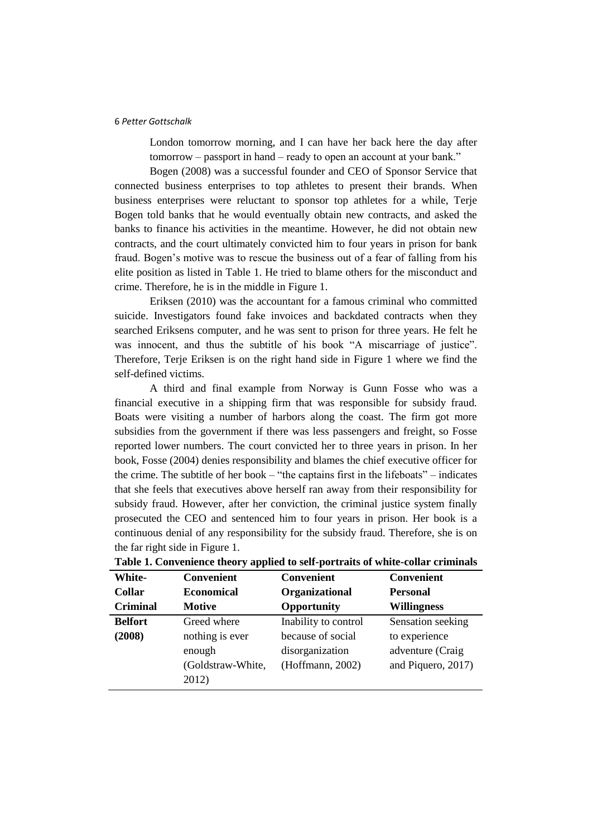London tomorrow morning, and I can have her back here the day after tomorrow – passport in hand – ready to open an account at your bank."

Bogen (2008) was a successful founder and CEO of Sponsor Service that connected business enterprises to top athletes to present their brands. When business enterprises were reluctant to sponsor top athletes for a while, Terje Bogen told banks that he would eventually obtain new contracts, and asked the banks to finance his activities in the meantime. However, he did not obtain new contracts, and the court ultimately convicted him to four years in prison for bank fraud. Bogen"s motive was to rescue the business out of a fear of falling from his elite position as listed in Table 1. He tried to blame others for the misconduct and crime. Therefore, he is in the middle in Figure 1.

Eriksen (2010) was the accountant for a famous criminal who committed suicide. Investigators found fake invoices and backdated contracts when they searched Eriksens computer, and he was sent to prison for three years. He felt he was innocent, and thus the subtitle of his book "A miscarriage of justice". Therefore, Terje Eriksen is on the right hand side in Figure 1 where we find the self-defined victims.

A third and final example from Norway is Gunn Fosse who was a financial executive in a shipping firm that was responsible for subsidy fraud. Boats were visiting a number of harbors along the coast. The firm got more subsidies from the government if there was less passengers and freight, so Fosse reported lower numbers. The court convicted her to three years in prison. In her book, Fosse (2004) denies responsibility and blames the chief executive officer for the crime. The subtitle of her book – "the captains first in the lifeboats" – indicates that she feels that executives above herself ran away from their responsibility for subsidy fraud. However, after her conviction, the criminal justice system finally prosecuted the CEO and sentenced him to four years in prison. Her book is a continuous denial of any responsibility for the subsidy fraud. Therefore, she is on the far right side in Figure 1.

| White-          | <b>Convenient</b> | <b>Convenient</b>    | Convenient         |  |  |  |  |
|-----------------|-------------------|----------------------|--------------------|--|--|--|--|
| <b>Collar</b>   | <b>Economical</b> | Organizational       | <b>Personal</b>    |  |  |  |  |
| <b>Criminal</b> | <b>Motive</b>     | Opportunity          | <b>Willingness</b> |  |  |  |  |
| <b>Belfort</b>  | Greed where       | Inability to control | Sensation seeking  |  |  |  |  |
| (2008)          | nothing is ever   | because of social    | to experience      |  |  |  |  |
|                 | enough            | disorganization      | adventure (Craig   |  |  |  |  |
|                 | (Goldstraw-White, | (Hoffmann, 2002)     | and Piquero, 2017) |  |  |  |  |
|                 | 2012)             |                      |                    |  |  |  |  |

| Table 1. Convenience theory applied to self-portraits of white-collar criminals |  |  |  |
|---------------------------------------------------------------------------------|--|--|--|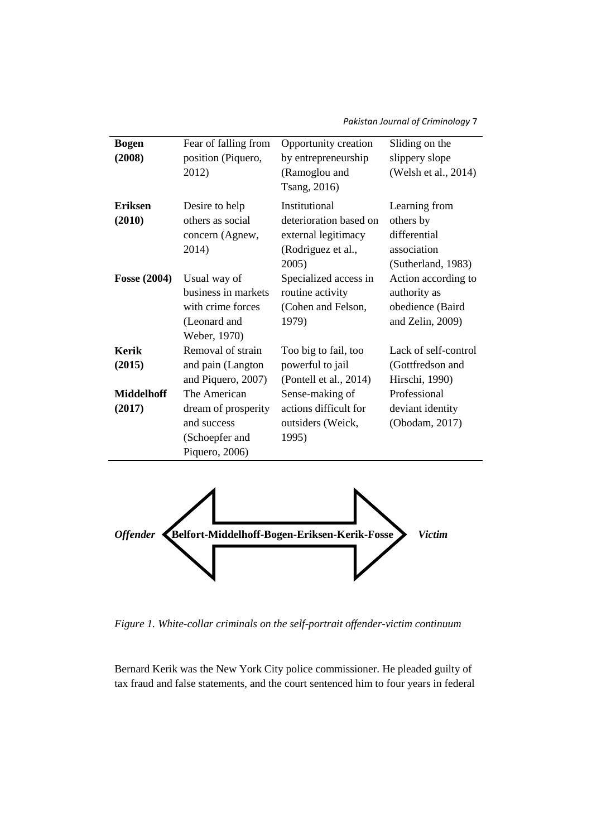**Bogen (2008)** Fear of falling from position (Piquero, 2012) Opportunity creation by entrepreneurship (Ramoglou and Tsang, 2016) Sliding on the slippery slope (Welsh et al., 2014) **Eriksen (2010)** Desire to help others as social concern (Agnew, 2014) Institutional deterioration based on external legitimacy (Rodriguez et al., 2005) Learning from others by differential association (Sutherland, 1983) **Fosse (2004)** Usual way of business in markets with crime forces (Leonard and Weber, 1970) Specialized access in routine activity (Cohen and Felson, 1979) Action according to authority as obedience (Baird and Zelin, 2009) **Kerik (2015)** Removal of strain and pain (Langton and Piquero, 2007) Too big to fail, too powerful to jail (Pontell et al., 2014) Lack of self-control (Gottfredson and Hirschi, 1990) **Middelhoff (2017)** The American dream of prosperity and success (Schoepfer and Piquero, 2006) Sense-making of actions difficult for outsiders (Weick, 1995) Professional deviant identity (Obodam, 2017)

*Pakistan Journal of Criminology* 7



*Figure 1. White-collar criminals on the self-portrait offender-victim continuum*

Bernard Kerik was the New York City police commissioner. He pleaded guilty of tax fraud and false statements, and the court sentenced him to four years in federal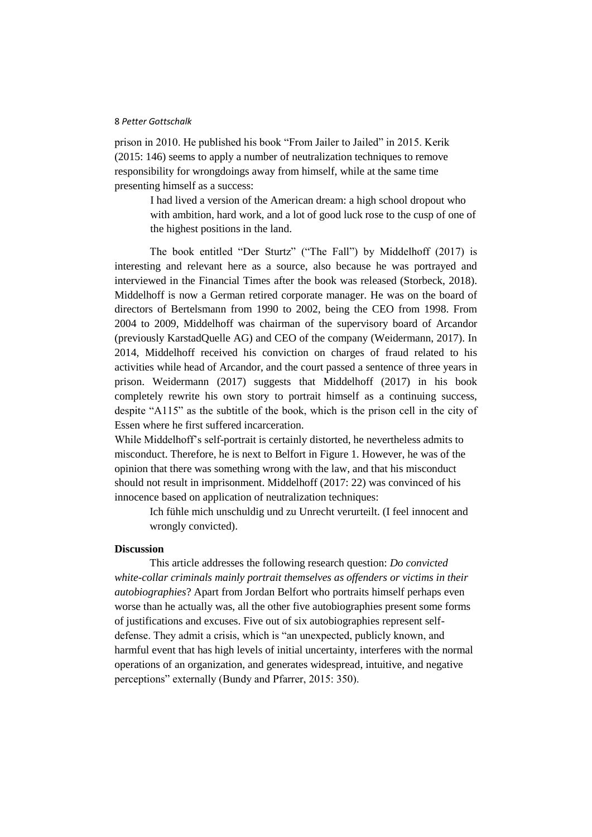prison in 2010. He published his book "From Jailer to Jailed" in 2015. Kerik (2015: 146) seems to apply a number of neutralization techniques to remove responsibility for wrongdoings away from himself, while at the same time presenting himself as a success:

> I had lived a version of the American dream: a high school dropout who with ambition, hard work, and a lot of good luck rose to the cusp of one of the highest positions in the land.

The book entitled "Der Sturtz" ("The Fall") by Middelhoff (2017) is interesting and relevant here as a source, also because he was portrayed and interviewed in the Financial Times after the book was released (Storbeck, 2018). Middelhoff is now a German retired corporate manager. He was on the board of directors of Bertelsmann from 1990 to 2002, being the CEO from 1998. From 2004 to 2009, Middelhoff was chairman of the supervisory board of Arcandor (previously KarstadQuelle AG) and CEO of the company (Weidermann, 2017). In 2014, Middelhoff received his conviction on charges of fraud related to his activities while head of Arcandor, and the court passed a sentence of three years in prison. Weidermann (2017) suggests that Middelhoff (2017) in his book completely rewrite his own story to portrait himself as a continuing success, despite "A115" as the subtitle of the book, which is the prison cell in the city of Essen where he first suffered incarceration.

While Middelhoff"s self-portrait is certainly distorted, he nevertheless admits to misconduct. Therefore, he is next to Belfort in Figure 1. However, he was of the opinion that there was something wrong with the law, and that his misconduct should not result in imprisonment. Middelhoff (2017: 22) was convinced of his innocence based on application of neutralization techniques:

Ich fühle mich unschuldig und zu Unrecht verurteilt. (I feel innocent and wrongly convicted).

# **Discussion**

This article addresses the following research question: *Do convicted white-collar criminals mainly portrait themselves as offenders or victims in their autobiographies*? Apart from Jordan Belfort who portraits himself perhaps even worse than he actually was, all the other five autobiographies present some forms of justifications and excuses. Five out of six autobiographies represent selfdefense. They admit a crisis, which is "an unexpected, publicly known, and harmful event that has high levels of initial uncertainty, interferes with the normal operations of an organization, and generates widespread, intuitive, and negative perceptions" externally (Bundy and Pfarrer, 2015: 350).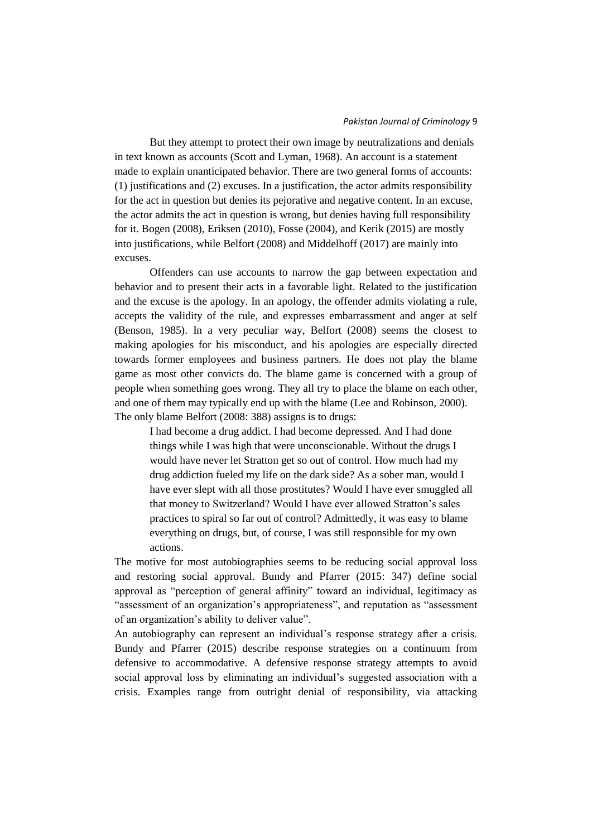But they attempt to protect their own image by neutralizations and denials in text known as accounts (Scott and Lyman, 1968). An account is a statement made to explain unanticipated behavior. There are two general forms of accounts: (1) justifications and (2) excuses. In a justification, the actor admits responsibility for the act in question but denies its pejorative and negative content. In an excuse, the actor admits the act in question is wrong, but denies having full responsibility for it. Bogen (2008), Eriksen (2010), Fosse (2004), and Kerik (2015) are mostly into justifications, while Belfort (2008) and Middelhoff (2017) are mainly into excuses.

Offenders can use accounts to narrow the gap between expectation and behavior and to present their acts in a favorable light. Related to the justification and the excuse is the apology. In an apology, the offender admits violating a rule, accepts the validity of the rule, and expresses embarrassment and anger at self (Benson, 1985). In a very peculiar way, Belfort (2008) seems the closest to making apologies for his misconduct, and his apologies are especially directed towards former employees and business partners. He does not play the blame game as most other convicts do. The blame game is concerned with a group of people when something goes wrong. They all try to place the blame on each other, and one of them may typically end up with the blame (Lee and Robinson, 2000). The only blame Belfort (2008: 388) assigns is to drugs:

I had become a drug addict. I had become depressed. And I had done things while I was high that were unconscionable. Without the drugs I would have never let Stratton get so out of control. How much had my drug addiction fueled my life on the dark side? As a sober man, would I have ever slept with all those prostitutes? Would I have ever smuggled all that money to Switzerland? Would I have ever allowed Stratton"s sales practices to spiral so far out of control? Admittedly, it was easy to blame everything on drugs, but, of course, I was still responsible for my own actions.

The motive for most autobiographies seems to be reducing social approval loss and restoring social approval. Bundy and Pfarrer (2015: 347) define social approval as "perception of general affinity" toward an individual, legitimacy as "assessment of an organization"s appropriateness", and reputation as "assessment of an organization"s ability to deliver value".

An autobiography can represent an individual's response strategy after a crisis. Bundy and Pfarrer (2015) describe response strategies on a continuum from defensive to accommodative. A defensive response strategy attempts to avoid social approval loss by eliminating an individual"s suggested association with a crisis. Examples range from outright denial of responsibility, via attacking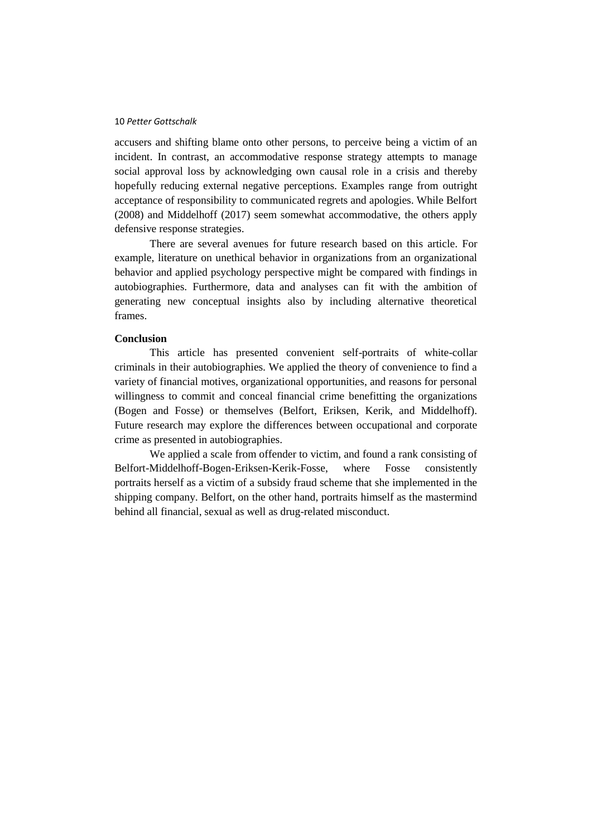accusers and shifting blame onto other persons, to perceive being a victim of an incident. In contrast, an accommodative response strategy attempts to manage social approval loss by acknowledging own causal role in a crisis and thereby hopefully reducing external negative perceptions. Examples range from outright acceptance of responsibility to communicated regrets and apologies. While Belfort (2008) and Middelhoff (2017) seem somewhat accommodative, the others apply defensive response strategies.

There are several avenues for future research based on this article. For example, literature on unethical behavior in organizations from an organizational behavior and applied psychology perspective might be compared with findings in autobiographies. Furthermore, data and analyses can fit with the ambition of generating new conceptual insights also by including alternative theoretical frames.

# **Conclusion**

This article has presented convenient self-portraits of white-collar criminals in their autobiographies. We applied the theory of convenience to find a variety of financial motives, organizational opportunities, and reasons for personal willingness to commit and conceal financial crime benefitting the organizations (Bogen and Fosse) or themselves (Belfort, Eriksen, Kerik, and Middelhoff). Future research may explore the differences between occupational and corporate crime as presented in autobiographies.

We applied a scale from offender to victim, and found a rank consisting of Belfort-Middelhoff-Bogen-Eriksen-Kerik-Fosse, where Fosse consistently portraits herself as a victim of a subsidy fraud scheme that she implemented in the shipping company. Belfort, on the other hand, portraits himself as the mastermind behind all financial, sexual as well as drug-related misconduct.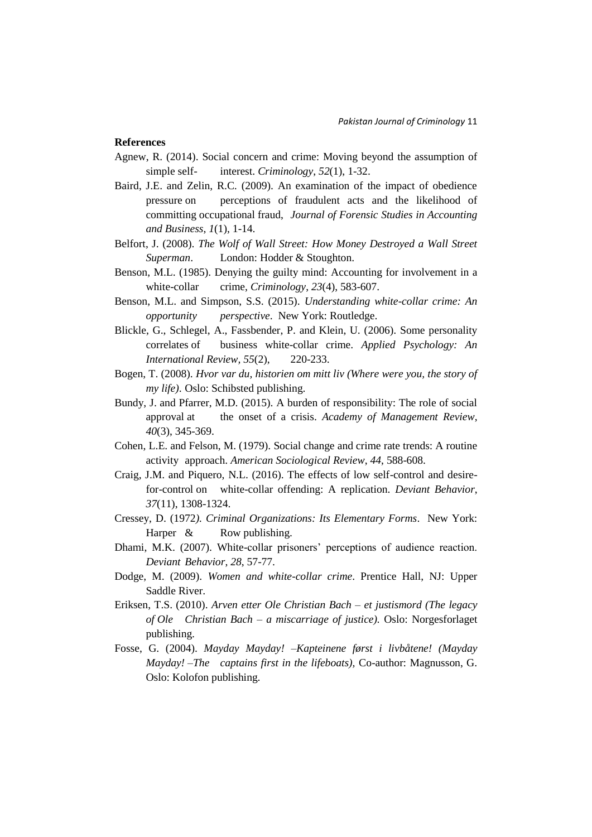### **References**

- Agnew, R. (2014). Social concern and crime: Moving beyond the assumption of simple self- interest. *Criminology*, *52*(1), 1-32.
- Baird, J.E. and Zelin, R.C. (2009). An examination of the impact of obedience pressure on perceptions of fraudulent acts and the likelihood of committing occupational fraud, *Journal of Forensic Studies in Accounting and Business*, *1*(1), 1-14.
- Belfort, J. (2008). *The Wolf of Wall Street: How Money Destroyed a Wall Street Superman*. London: Hodder & Stoughton.
- Benson, M.L. (1985). Denying the guilty mind: Accounting for involvement in a white-collar crime, *Criminology*, 23(4), 583-607.
- Benson, M.L. and Simpson, S.S. (2015). *Understanding white-collar crime: An opportunity perspective*. New York: Routledge.
- Blickle, G., Schlegel, A., Fassbender, P. and Klein, U. (2006). Some personality correlates of business white-collar crime. *Applied Psychology: An International Review, 55*(2), 220-233.
- Bogen, T. (2008). *Hvor var du, historien om mitt liv (Where were you, the story of my life)*. Oslo: Schibsted publishing.
- Bundy, J. and Pfarrer, M.D. (2015). A burden of responsibility: The role of social approval at the onset of a crisis. *Academy of Management Review*, *40*(3), 345-369.
- Cohen, L.E. and Felson, M. (1979). Social change and crime rate trends: A routine activity approach. *American Sociological Review*, *44*, 588-608.
- Craig, J.M. and Piquero, N.L. (2016). The effects of low self-control and desirefor-control on white-collar offending: A replication. *Deviant Behavior*, *37*(11), 1308-1324.
- Cressey, D. (1972*). Criminal Organizations: Its Elementary Forms*. New York: Harper & Row publishing.
- Dhami, M.K. (2007). White-collar prisoners' perceptions of audience reaction. *Deviant Behavior*, *28*, 57-77.
- Dodge, M. (2009). *Women and white-collar crime*. Prentice Hall, NJ: Upper Saddle River.
- Eriksen, T.S. (2010). *Arven etter Ole Christian Bach – et justismord (The legacy of Ole Christian Bach – a miscarriage of justice).* Oslo: Norgesforlaget publishing.
- Fosse, G. (2004). *Mayday Mayday! –Kapteinene først i livbåtene! (Mayday Mayday! –The captains first in the lifeboats),* Co-author: Magnusson, G. Oslo: Kolofon publishing.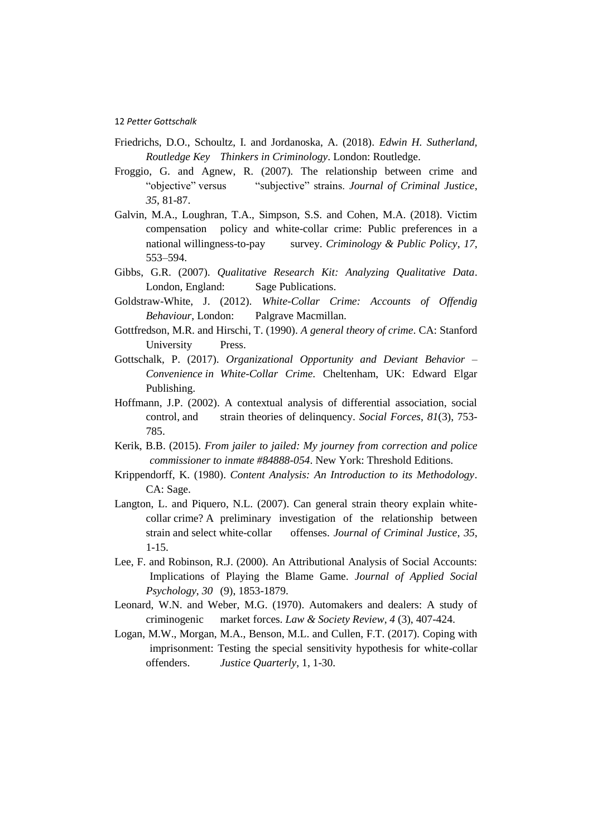- Friedrichs, D.O., Schoultz, I. and Jordanoska, A. (2018). *Edwin H. Sutherland, Routledge Key Thinkers in Criminology*. London: Routledge.
- Froggio, G. and Agnew, R. (2007). The relationship between crime and "objective" versus "subjective" strains. *Journal of Criminal Justice*, *35*, 81-87.
- Galvin, M.A., Loughran, T.A., Simpson, S.S. and Cohen, M.A. (2018). Victim compensation policy and white-collar crime: Public preferences in a national willingness-to-pay survey. *Criminology & Public Policy*, *17*, 553–594.
- Gibbs, G.R. (2007). *Qualitative Research Kit: Analyzing Qualitative Data*. London, England: Sage Publications.
- Goldstraw-White, J. (2012). *White-Collar Crime: Accounts of Offendig Behaviour*, London: Palgrave Macmillan.
- Gottfredson, M.R. and Hirschi, T. (1990). *A general theory of crime*. CA: Stanford University Press.
- Gottschalk, P. (2017). *Organizational Opportunity and Deviant Behavior – Convenience in White-Collar Crime*. Cheltenham, UK: Edward Elgar Publishing.
- Hoffmann, J.P. (2002). A contextual analysis of differential association, social control, and strain theories of delinquency. *Social Forces*, *81*(3), 753- 785.
- Kerik, B.B. (2015). *From jailer to jailed: My journey from correction and police commissioner to inmate #84888-054*. New York: Threshold Editions.
- Krippendorff, K. (1980). *Content Analysis: An Introduction to its Methodology*. CA: Sage.
- Langton, L. and Piquero, N.L. (2007). Can general strain theory explain whitecollar crime? A preliminary investigation of the relationship between strain and select white-collar offenses. *Journal of Criminal Justice*, *35*, 1-15.
- Lee, F. and Robinson, R.J. (2000). An Attributional Analysis of Social Accounts: Implications of Playing the Blame Game. *Journal of Applied Social Psychology*, *30* (9), 1853-1879.
- Leonard, W.N. and Weber, M.G. (1970). Automakers and dealers: A study of criminogenic market forces. *Law & Society Review*, *4* (3), 407-424.
- Logan, M.W., Morgan, M.A., Benson, M.L. and Cullen, F.T. (2017). Coping with imprisonment: Testing the special sensitivity hypothesis for white-collar offenders. *Justice Quarterly*, 1, 1-30.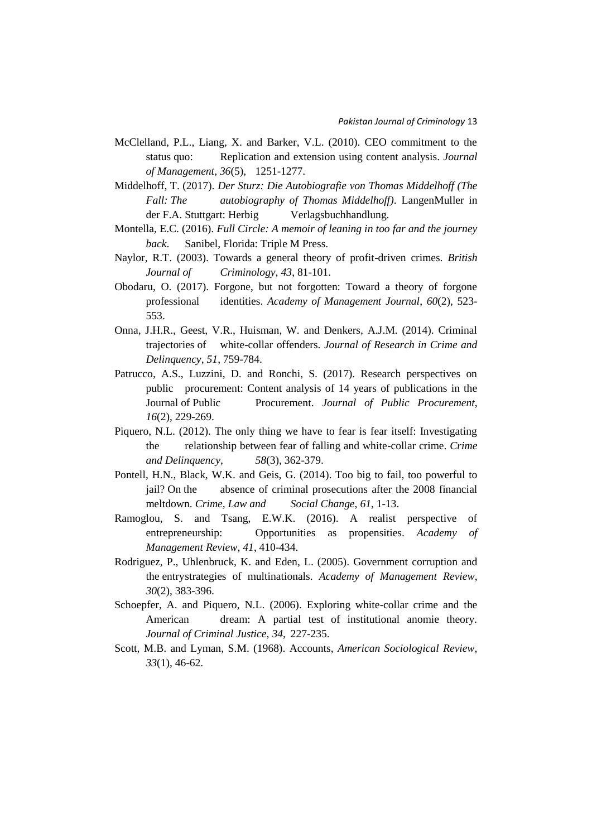- McClelland, P.L., Liang, X. and Barker, V.L. (2010). CEO commitment to the status quo: Replication and extension using content analysis. *Journal of Management*, *36*(5), 1251-1277.
- Middelhoff, T. (2017). *Der Sturz: Die Autobiografie von Thomas Middelhoff (The Fall: The autobiography of Thomas Middelhoff)*. LangenMuller in der F.A. Stuttgart: Herbig Verlagsbuchhandlung.
- Montella, E.C. (2016). *Full Circle: A memoir of leaning in too far and the journey back*. Sanibel, Florida: Triple M Press.
- Naylor, R.T. (2003). Towards a general theory of profit-driven crimes. *British Journal of Criminology*, *43*, 81-101.
- Obodaru, O. (2017). Forgone, but not forgotten: Toward a theory of forgone professional identities. *Academy of Management Journal*, *60*(2), 523- 553.
- Onna, J.H.R., Geest, V.R., Huisman, W. and Denkers, A.J.M. (2014). Criminal trajectories of white-collar offenders. *Journal of Research in Crime and Delinquency*, *51*, 759-784.
- Patrucco, A.S., Luzzini, D. and Ronchi, S. (2017). Research perspectives on public procurement: Content analysis of 14 years of publications in the Journal of Public Procurement. *Journal of Public Procurement*, *16*(2), 229-269.
- Piquero, N.L. (2012). The only thing we have to fear is fear itself: Investigating the relationship between fear of falling and white-collar crime. *Crime and Delinquency*, *58*(3), 362-379.
- Pontell, H.N., Black, W.K. and Geis, G. (2014). Too big to fail, too powerful to jail? On the absence of criminal prosecutions after the 2008 financial meltdown. *Crime, Law and Social Change*, *61*, 1-13.
- Ramoglou, S. and Tsang, E.W.K. (2016). A realist perspective of entrepreneurship: Opportunities as propensities. *Academy of Management Review*, *41*, 410-434.
- Rodriguez, P., Uhlenbruck, K. and Eden, L. (2005). Government corruption and the entrystrategies of multinationals. *Academy of Management Review*, *30*(2), 383-396.
- Schoepfer, A. and Piquero, N.L. (2006). Exploring white-collar crime and the American dream: A partial test of institutional anomie theory. *Journal of Criminal Justice*, *34*, 227-235.
- Scott, M.B. and Lyman, S.M. (1968). Accounts, *American Sociological Review*, *33*(1), 46-62.